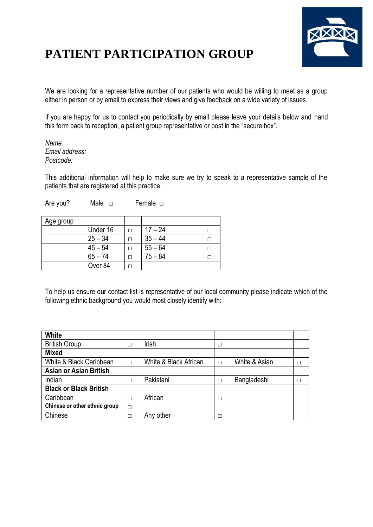

## **PATIENT PARTICIPATION GROUP**

We are looking for a representative number of our patients who would be willing to meet as a group either in person or by email to express their views and give feedback on a wide variety of issues.

If you are happy for us to contact you periodically by email please leave your details below and hand this form back to reception, a patient group representative or post in the "secure box".

*Name: Email address: Postcode:*

This additional information will help to make sure we try to speak to a representative sample of the patients that are registered at this practice.

Are you? Male □ Female □

| Age group |           |           |  |
|-----------|-----------|-----------|--|
|           | Under 16  | $17 - 24$ |  |
|           | $25 - 34$ | $35 - 44$ |  |
|           | $45 - 54$ | $55 - 64$ |  |
|           | $65 - 74$ | $75 - 84$ |  |
|           | Over 84   |           |  |

To help us ensure our contact list is representative of our local community please indicate which of the following ethnic background you would most closely identify with:

| <b>White</b>                  |   |                       |        |               |  |
|-------------------------------|---|-----------------------|--------|---------------|--|
| <b>British Group</b>          | С | Irish                 | □      |               |  |
| <b>Mixed</b>                  |   |                       |        |               |  |
| White & Black Caribbean       | П | White & Black African | $\Box$ | White & Asian |  |
| <b>Asian or Asian British</b> |   |                       |        |               |  |
| Indian                        | П | Pakistani             | П      | Bangladeshi   |  |
| <b>Black or Black British</b> |   |                       |        |               |  |
| Caribbean                     | П | African               | П      |               |  |
| Chinese or other ethnic group | П |                       |        |               |  |
| Chinese                       | □ | Any other             | □      |               |  |